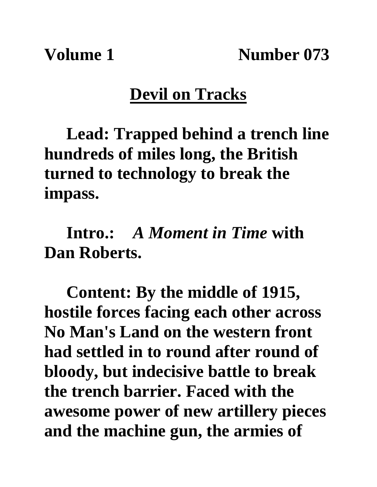**Volume 1 Number 073**

## **Devil on Tracks**

**Lead: Trapped behind a trench line hundreds of miles long, the British turned to technology to break the impass.**

**Intro.:** *A Moment in Time* **with Dan Roberts.**

**Content: By the middle of 1915, hostile forces facing each other across No Man's Land on the western front had settled in to round after round of bloody, but indecisive battle to break the trench barrier. Faced with the awesome power of new artillery pieces and the machine gun, the armies of**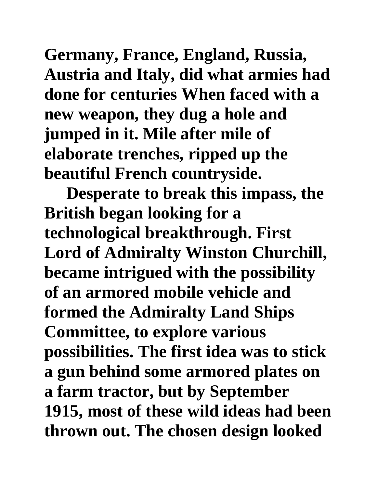**Germany, France, England, Russia, Austria and Italy, did what armies had done for centuries When faced with a new weapon, they dug a hole and jumped in it. Mile after mile of elaborate trenches, ripped up the beautiful French countryside.**

**Desperate to break this impass, the British began looking for a technological breakthrough. First Lord of Admiralty Winston Churchill, became intrigued with the possibility of an armored mobile vehicle and formed the Admiralty Land Ships Committee, to explore various possibilities. The first idea was to stick a gun behind some armored plates on a farm tractor, but by September 1915, most of these wild ideas had been thrown out. The chosen design looked**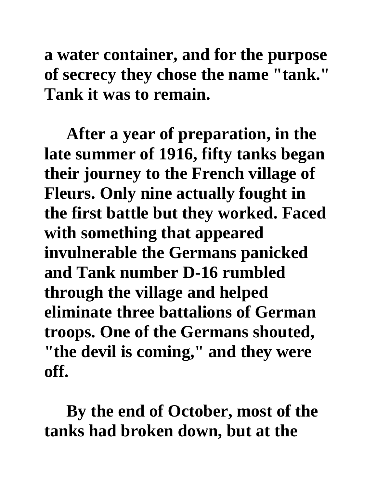**a water container, and for the purpose of secrecy they chose the name "tank." Tank it was to remain.**

**After a year of preparation, in the late summer of 1916, fifty tanks began their journey to the French village of Fleurs. Only nine actually fought in the first battle but they worked. Faced with something that appeared invulnerable the Germans panicked and Tank number D-16 rumbled through the village and helped eliminate three battalions of German troops. One of the Germans shouted, "the devil is coming," and they were off.**

**By the end of October, most of the tanks had broken down, but at the**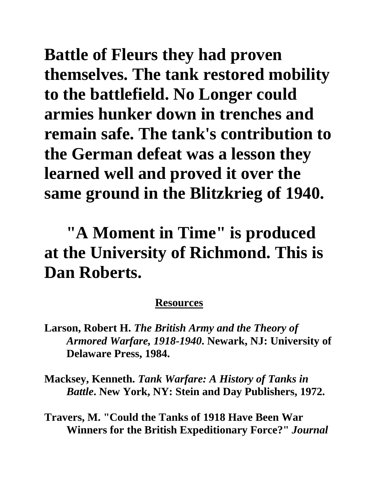**Battle of Fleurs they had proven themselves. The tank restored mobility to the battlefield. No Longer could armies hunker down in trenches and remain safe. The tank's contribution to the German defeat was a lesson they learned well and proved it over the same ground in the Blitzkrieg of 1940.**

## **"A Moment in Time" is produced at the University of Richmond. This is Dan Roberts.**

## **Resources**

**Larson, Robert H.** *The British Army and the Theory of Armored Warfare, 1918-1940***. Newark, NJ: University of Delaware Press, 1984.**

**Macksey, Kenneth.** *Tank Warfare: A History of Tanks in Battle***. New York, NY: Stein and Day Publishers, 1972.**

**Travers, M. "Could the Tanks of 1918 Have Been War Winners for the British Expeditionary Force?"** *Journal*